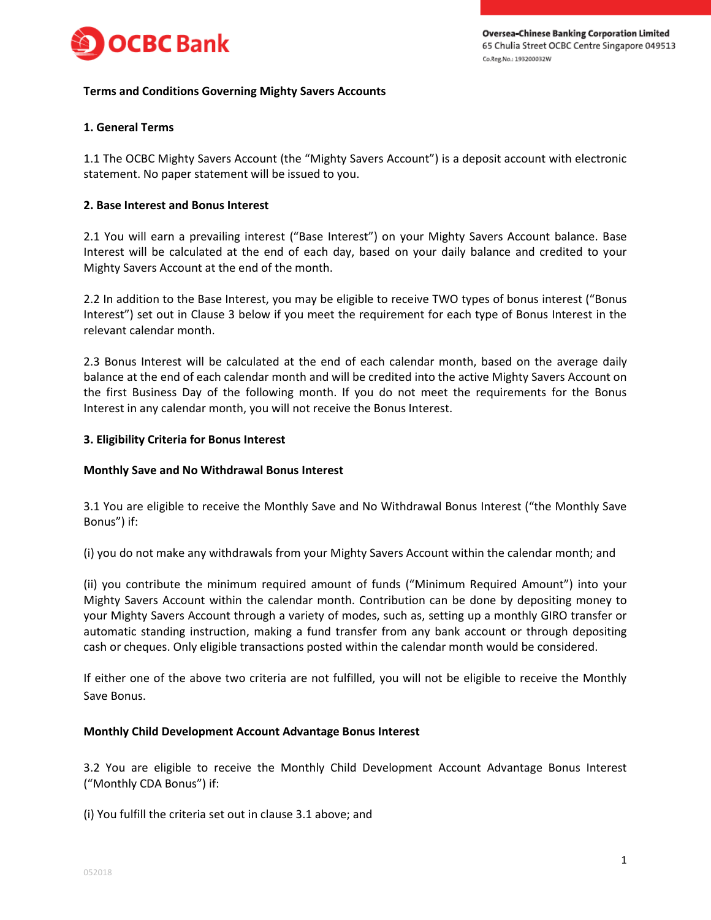

## **Terms and Conditions Governing Mighty Savers Accounts**

# **1. General Terms**

1.1 The OCBC Mighty Savers Account (the "Mighty Savers Account") is a deposit account with electronic statement. No paper statement will be issued to you.

## **2. Base Interest and Bonus Interest**

2.1 You will earn a prevailing interest ("Base Interest") on your Mighty Savers Account balance. Base Interest will be calculated at the end of each day, based on your daily balance and credited to your Mighty Savers Account at the end of the month.

2.2 In addition to the Base Interest, you may be eligible to receive TWO types of bonus interest ("Bonus Interest") set out in Clause 3 below if you meet the requirement for each type of Bonus Interest in the relevant calendar month.

2.3 Bonus Interest will be calculated at the end of each calendar month, based on the average daily balance at the end of each calendar month and will be credited into the active Mighty Savers Account on the first Business Day of the following month. If you do not meet the requirements for the Bonus Interest in any calendar month, you will not receive the Bonus Interest.

## **3. Eligibility Criteria for Bonus Interest**

#### **Monthly Save and No Withdrawal Bonus Interest**

3.1 You are eligible to receive the Monthly Save and No Withdrawal Bonus Interest ("the Monthly Save Bonus") if:

(i) you do not make any withdrawals from your Mighty Savers Account within the calendar month; and

(ii) you contribute the minimum required amount of funds ("Minimum Required Amount") into your Mighty Savers Account within the calendar month. Contribution can be done by depositing money to your Mighty Savers Account through a variety of modes, such as, setting up a monthly GIRO transfer or automatic standing instruction, making a fund transfer from any bank account or through depositing cash or cheques. Only eligible transactions posted within the calendar month would be considered.

If either one of the above two criteria are not fulfilled, you will not be eligible to receive the Monthly Save Bonus.

#### **Monthly Child Development Account Advantage Bonus Interest**

3.2 You are eligible to receive the Monthly Child Development Account Advantage Bonus Interest ("Monthly CDA Bonus") if:

(i) You fulfill the criteria set out in clause 3.1 above; and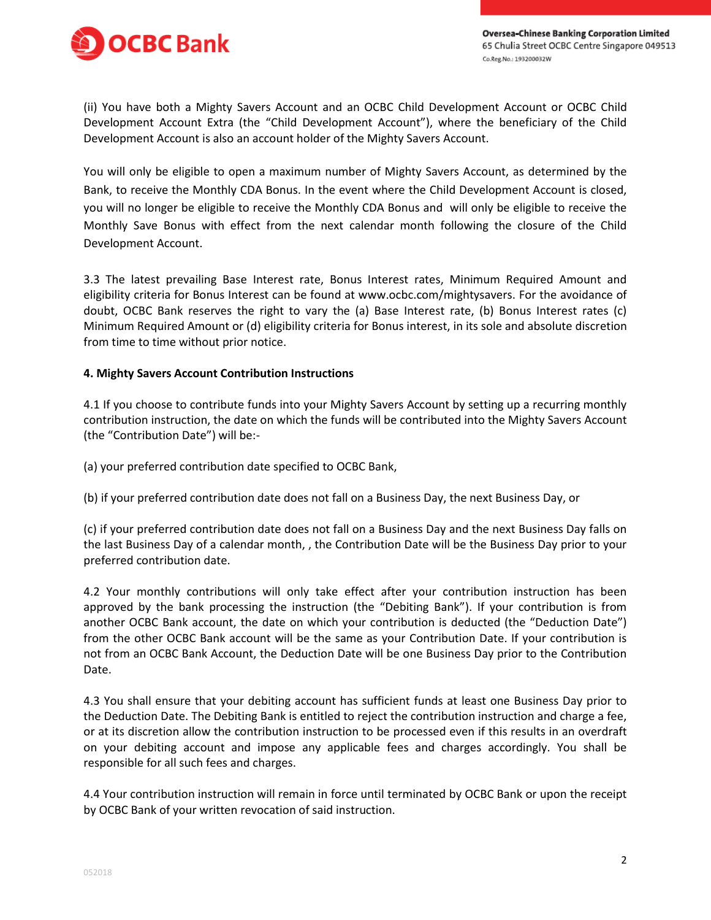



(ii) You have both a Mighty Savers Account and an OCBC Child Development Account or OCBC Child Development Account Extra (the "Child Development Account"), where the beneficiary of the Child Development Account is also an account holder of the Mighty Savers Account.

You will only be eligible to open a maximum number of Mighty Savers Account, as determined by the Bank, to receive the Monthly CDA Bonus. In the event where the Child Development Account is closed, you will no longer be eligible to receive the Monthly CDA Bonus and will only be eligible to receive the Monthly Save Bonus with effect from the next calendar month following the closure of the Child Development Account.

3.3 The latest prevailing Base Interest rate, Bonus Interest rates, Minimum Required Amount and eligibility criteria for Bonus Interest can be found at www.ocbc.com/mightysavers. For the avoidance of doubt, OCBC Bank reserves the right to vary the (a) Base Interest rate, (b) Bonus Interest rates (c) Minimum Required Amount or (d) eligibility criteria for Bonus interest, in its sole and absolute discretion from time to time without prior notice.

## **4. Mighty Savers Account Contribution Instructions**

4.1 If you choose to contribute funds into your Mighty Savers Account by setting up a recurring monthly contribution instruction, the date on which the funds will be contributed into the Mighty Savers Account (the "Contribution Date") will be:-

(a) your preferred contribution date specified to OCBC Bank,

(b) if your preferred contribution date does not fall on a Business Day, the next Business Day, or

(c) if your preferred contribution date does not fall on a Business Day and the next Business Day falls on the last Business Day of a calendar month, , the Contribution Date will be the Business Day prior to your preferred contribution date.

4.2 Your monthly contributions will only take effect after your contribution instruction has been approved by the bank processing the instruction (the "Debiting Bank"). If your contribution is from another OCBC Bank account, the date on which your contribution is deducted (the "Deduction Date") from the other OCBC Bank account will be the same as your Contribution Date. If your contribution is not from an OCBC Bank Account, the Deduction Date will be one Business Day prior to the Contribution Date.

4.3 You shall ensure that your debiting account has sufficient funds at least one Business Day prior to the Deduction Date. The Debiting Bank is entitled to reject the contribution instruction and charge a fee, or at its discretion allow the contribution instruction to be processed even if this results in an overdraft on your debiting account and impose any applicable fees and charges accordingly. You shall be responsible for all such fees and charges.

4.4 Your contribution instruction will remain in force until terminated by OCBC Bank or upon the receipt by OCBC Bank of your written revocation of said instruction.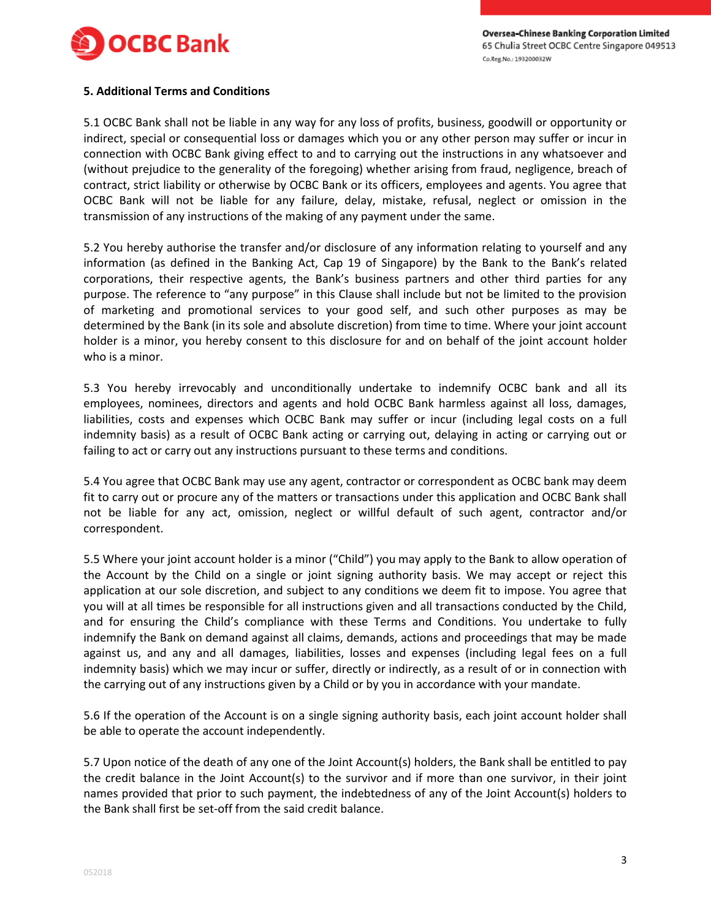

## **5. Additional Terms and Conditions**

5.1 OCBC Bank shall not be liable in any way for any loss of profits, business, goodwill or opportunity or indirect, special or consequential loss or damages which you or any other person may suffer or incur in connection with OCBC Bank giving effect to and to carrying out the instructions in any whatsoever and (without prejudice to the generality of the foregoing) whether arising from fraud, negligence, breach of contract, strict liability or otherwise by OCBC Bank or its officers, employees and agents. You agree that OCBC Bank will not be liable for any failure, delay, mistake, refusal, neglect or omission in the transmission of any instructions of the making of any payment under the same.

5.2 You hereby authorise the transfer and/or disclosure of any information relating to yourself and any information (as defined in the Banking Act, Cap 19 of Singapore) by the Bank to the Bank's related corporations, their respective agents, the Bank's business partners and other third parties for any purpose. The reference to "any purpose" in this Clause shall include but not be limited to the provision of marketing and promotional services to your good self, and such other purposes as may be determined by the Bank (in its sole and absolute discretion) from time to time. Where your joint account holder is a minor, you hereby consent to this disclosure for and on behalf of the joint account holder who is a minor.

5.3 You hereby irrevocably and unconditionally undertake to indemnify OCBC bank and all its employees, nominees, directors and agents and hold OCBC Bank harmless against all loss, damages, liabilities, costs and expenses which OCBC Bank may suffer or incur (including legal costs on a full indemnity basis) as a result of OCBC Bank acting or carrying out, delaying in acting or carrying out or failing to act or carry out any instructions pursuant to these terms and conditions.

5.4 You agree that OCBC Bank may use any agent, contractor or correspondent as OCBC bank may deem fit to carry out or procure any of the matters or transactions under this application and OCBC Bank shall not be liable for any act, omission, neglect or willful default of such agent, contractor and/or correspondent.

5.5 Where your joint account holder is a minor ("Child") you may apply to the Bank to allow operation of the Account by the Child on a single or joint signing authority basis. We may accept or reject this application at our sole discretion, and subject to any conditions we deem fit to impose. You agree that you will at all times be responsible for all instructions given and all transactions conducted by the Child, and for ensuring the Child's compliance with these Terms and Conditions. You undertake to fully indemnify the Bank on demand against all claims, demands, actions and proceedings that may be made against us, and any and all damages, liabilities, losses and expenses (including legal fees on a full indemnity basis) which we may incur or suffer, directly or indirectly, as a result of or in connection with the carrying out of any instructions given by a Child or by you in accordance with your mandate.

5.6 If the operation of the Account is on a single signing authority basis, each joint account holder shall be able to operate the account independently.

5.7 Upon notice of the death of any one of the Joint Account(s) holders, the Bank shall be entitled to pay the credit balance in the Joint Account(s) to the survivor and if more than one survivor, in their joint names provided that prior to such payment, the indebtedness of any of the Joint Account(s) holders to the Bank shall first be set-off from the said credit balance.